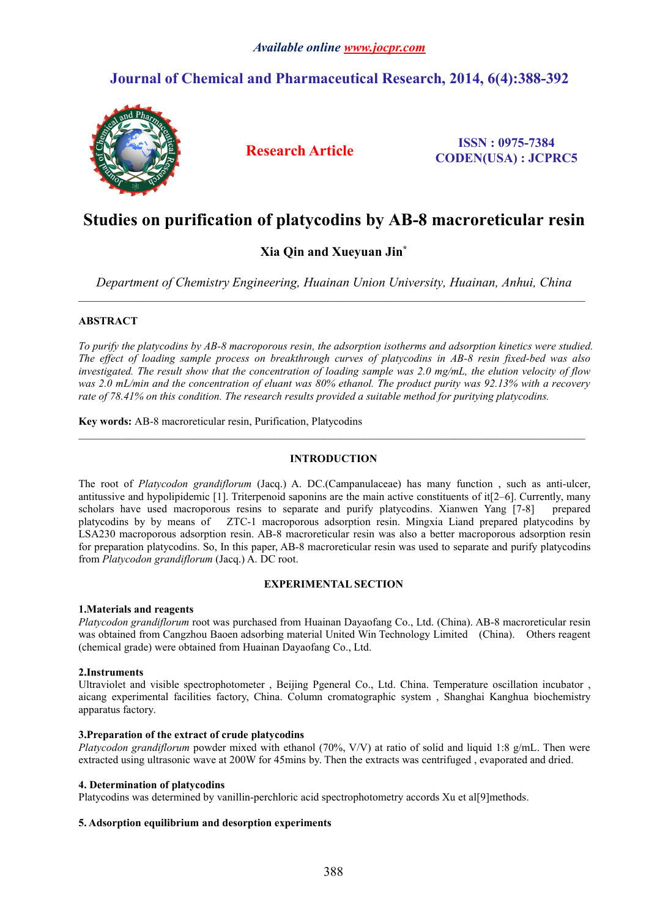# *Available online [www.jocpr.com](http://www.jocpr.com)*

# **Journal of Chemical and Pharmaceutical Research, 2014, 6(4):388-392**



**Research Article ISSN : 0975-7384 CODEN(USA) : JCPRC5**

# **Studies on purification of platycodins by AB-8 macroreticular resin**

# **Xia Qin and Xueyuan Jin\***

*Department of Chemistry Engineering, Huainan Union University, Huainan, Anhui, China*

 $\_$  , and the state of the state of the state of the state of the state of the state of the state of the state of the state of the state of the state of the state of the state of the state of the state of the state of the

 $\_$  , and the state of the state of the state of the state of the state of the state of the state of the state of the state of the state of the state of the state of the state of the state of the state of the state of the

# **ABSTRACT**

To purify the platycodins by AB-8 macroporous resin, the adsorption isotherms and adsorption kinetics were studied. The effect of loading sample process on breakthrough curves of platycodins in AB-8 resin fixed-bed was also investigated. The result show that the concentration of loading sample was 2.0 mg/mL, the elution velocity of flow was 2.0 mL/min and the concentration of eluant was 80% ethanol. The product purity was 92.13% with a recovery *rate of 78.41% on this condition. The research results provided a suitable method for puritying platycodins.*

**Key words:**AB-8 macroreticular resin, Purification, Platycodins

# **INTRODUCTION**

The root of *Platycodon grandiflorum* (Jacq.) A. DC.(Campanulaceae) has many function , such as anti-ulcer, antitussive and hypolipidemic  $[1]$ . Triterpenoid saponins are the main active constituents of it $[2-6]$ . Currently, many scholars have used macroporous resins to separate and purify platycodins. Xianwen Yang [7-8] prepared platycodins by by means of ZTC-1 macroporous adsorption resin. Mingxia Liand prepared platycodins by LSA230 macroporous adsorption resin. AB-8 macroreticular resin was also a better macroporous adsorption resin for preparation platycodins. So, In this paper, AB-8 macroreticular resin was used to separate and purify platycodins from *Platycodon grandiflorum* (Jacq.) A. DC root.

# **EXPERIMENTAL SECTION**

# **1.Materials and reagents**

*Platycodon grandiflorum* root was purchased from Huainan Dayaofang Co., Ltd. (China). AB-8 macroreticular resin was obtained from Cangzhou Baoen adsorbing material United Win Technology Limited (China). Others reagent (chemical grade) were obtained from Huainan Dayaofang Co., Ltd.

# **2.Instruments**

Ultraviolet and visible spectrophotometer , Beijing Pgeneral Co., Ltd. China. Temperature oscillation incubator , aicang experimental facilities factory, China. Column cromatographic system , Shanghai Kanghua biochemistry apparatus factory.

# **3.Preparation of the extract of crude platycodins**

*Platycodon grandiflorum* powder mixed with ethanol (70%, V/V) at ratio of solid and liquid 1:8 g/mL. Then were extracted using ultrasonic wave at 200W for 45mins by. Then the extracts was centrifuged, evaporated and dried.

# **4. Determination of platycodins**

Platycodins was determined by vanillin-perchloric acid spectrophotometry accords Xu et al[9]methods.

# **5. Adsorption equilibrium and desorption experiments**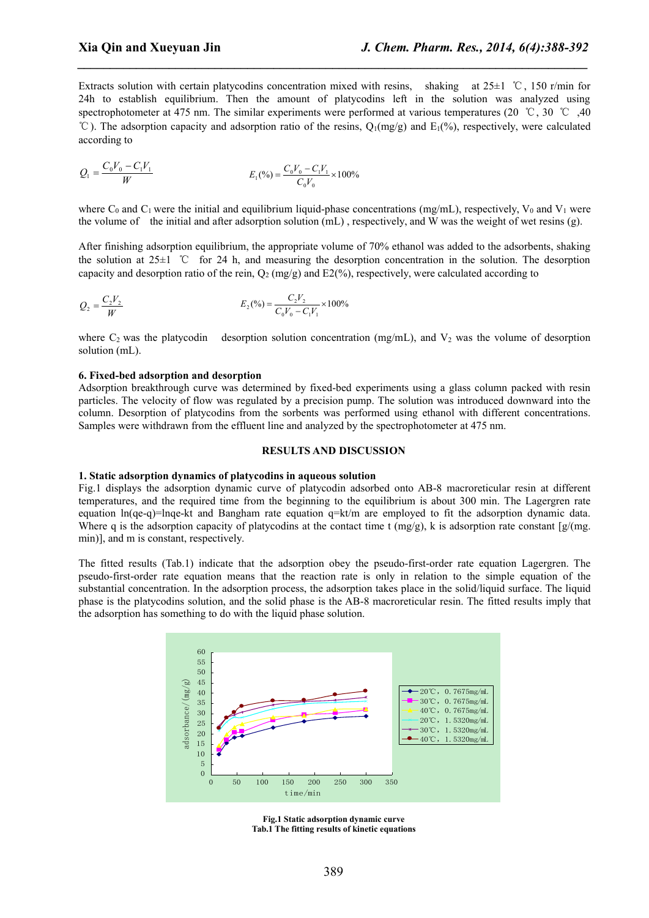Extracts solution with certain platycodins concentration mixed with resins, shaking at 25±1 ℃, 150 r/min for 24h to establish equilibrium. Then the amount of platycodins left in the solution was analyzed using spectrophotometer at 475 nm. The similar experiments were performed at various temperatures (20 ℃, 30 ℃, 40  $°C$ ). The adsorption capacity and adsorption ratio of the resins,  $Q_1(mg/g)$  and  $E_1(\%)$ , respectively, were calculated according to

*\_\_\_\_\_\_\_\_\_\_\_\_\_\_\_\_\_\_\_\_\_\_\_\_\_\_\_\_\_\_\_\_\_\_\_\_\_\_\_\_\_\_\_\_\_\_\_\_\_\_\_\_\_\_\_\_\_\_\_\_\_\_\_\_\_\_\_\_\_\_\_\_\_\_\_\_\_\_*

$$
Q_1 = \frac{C_0 V_0 - C_1 V_1}{W} \qquad E_1(^{9}o) = \frac{C_0 V_0 - C_1 V_1}{C_0 V_0} \times 100\%
$$

where  $C_0$  and  $C_1$  were the initial and equilibrium liquid-phase concentrations (mg/mL), respectively,  $V_0$  and  $V_1$  were the volume of the initial and after adsorption solution (mL) , respectively, and W was the weight of wet resins (g).

After finishing adsorption equilibrium, the appropriate volume of 70% ethanol was added to the adsorbents, shaking the solution at 25±1 ℃ for 24 h, and measuring the desorption concentration in the solution. The desorption capacity and desorption ratio of the rein,  $O_2$  (mg/g) and E2(%), respectively, were calculated according to

$$
Q_2 = \frac{C_2 V_2}{W} \qquad E_2(^{96}) = \frac{C_2 V_2}{C_0 V_0 - C_1 V_1} \times 100\%
$$

where  $C_2$  was the platycodin desorption solution concentration (mg/mL), and  $V_2$  was the volume of desorption solution (mL).

#### **6. Fixed-bed adsorption and desorption**

Adsorption breakthrough curve was determined by fixed-bed experiments using a glass column packed with resin particles. The velocity of flow was regulated by a precision pump. The solution was introduced downward into the column. Desorption of platycodins from the sorbents was performed using ethanol with different concentrations. Samples were withdrawn from the effluent line and analyzed by the spectrophotometer at 475 nm.

#### **RESULTS AND DISCUSSION**

### **1. Static adsorption dynamics ofplatycodins in aqueous solution**

Fig.1 displays the adsorption dynamic curve of platycodin adsorbed onto AB-8 macroreticular resin at different temperatures, and the required time from the beginning to the equilibrium is about 300 min. The Lagergren rate equation ln(qe-q)=lnqe-kt and Bangham rate equation q=kt/m are employed to fit the adsorption dynamic data. Where q is the adsorption capacity of platycodins at the contact time t  $(mg/g)$ , k is adsorption rate constant  $[g/(mg,$ min)], and m is constant, respectively.

The fitted results (Tab.1) indicate that the adsorption obey the pseudo-first-order rate equation Lagergren. The pseudo-first-order rate equation means that the reaction rate is only in relation to the simple equation of the substantial concentration. In the adsorption process, the adsorption takes place in the solid/liquid surface. The liquid phase is the platycodins solution, and the solid phase is the AB-8 macroreticular resin. The fitted results imply that the adsorption has something to do with the liquid phase solution.



**Fig.1 Static adsorption dynamic curve Tab.1** The fitting results of kinetic equations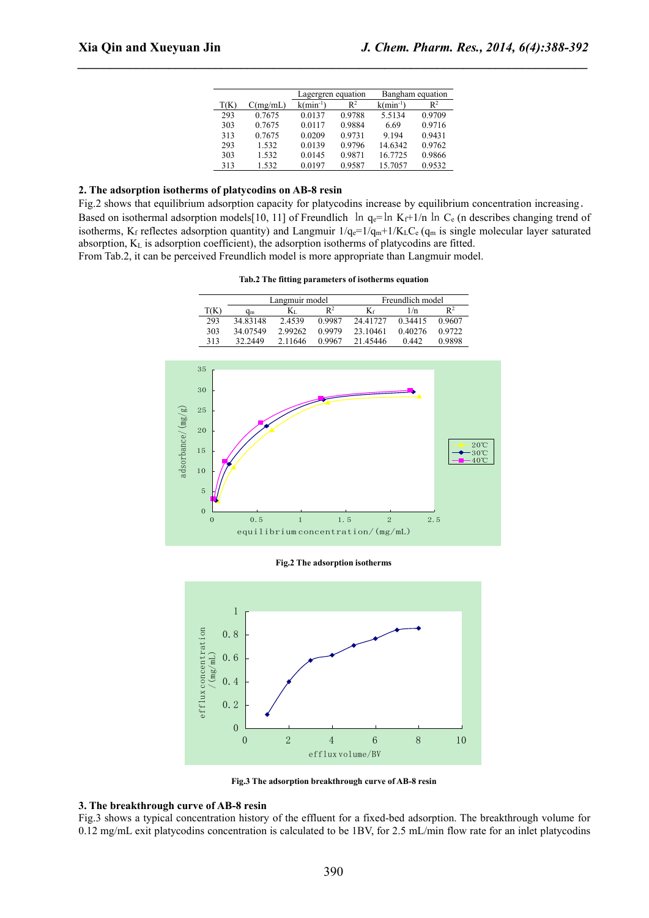|      |          | Lagergren equation |                | Bangham equation |                |
|------|----------|--------------------|----------------|------------------|----------------|
| T(K) | C(mg/mL) | $k(min^{-1})$      | $\mathbb{R}^2$ | $k(min^{-1})$    | $\mathbb{R}^2$ |
| 293  | 0.7675   | 0.0137             | 0.9788         | 5.5134           | 0.9709         |
| 303  | 0.7675   | 0.0117             | 0.9884         | 6.69             | 0.9716         |
| 313  | 0.7675   | 0.0209             | 0.9731         | 9.194            | 0.9431         |
| 293  | 1.532    | 0.0139             | 0.9796         | 14.6342          | 0.9762         |
| 303  | 1.532    | 0.0145             | 0.9871         | 16.7725          | 0.9866         |
| 313  | 1.532    | 0.0197             | 0.9587         | 15.7057          | 0.9532         |

*\_\_\_\_\_\_\_\_\_\_\_\_\_\_\_\_\_\_\_\_\_\_\_\_\_\_\_\_\_\_\_\_\_\_\_\_\_\_\_\_\_\_\_\_\_\_\_\_\_\_\_\_\_\_\_\_\_\_\_\_\_\_\_\_\_\_\_\_\_\_\_\_\_\_\_\_\_\_*

# **2. The adsorption isotherms ofplatycodins on AB-8 resin**

Fig.2 shows that equilibrium adsorption capacity for platycodins increase by equilibrium concentration increasing. Based on isothermal adsorption models[10, 11] of Freundlich  $\ln q_e = \ln K_f + 1/n \ln C_e$  (n describes changing trend of isotherms, K<sub>f</sub> reflectes adsorption quantity) and Langmuir  $1/q_e=1/q_m+1/K_LC_e$  ( $q_m$  is single molecular layer saturated absorption, K<sup>L</sup> is adsorption coefficient), the adsorption isotherms of platycodins are fitted. From Tab.2, it can be perceived Freundlich model is more appropriate than Langmuir model.

|      | Langmuir model |         |                | Freundlich model |         |                |  |
|------|----------------|---------|----------------|------------------|---------|----------------|--|
| T(K) | qm             | Ki      | $\mathsf{R}^2$ |                  | 1/n     | $\mathsf{R}^2$ |  |
| 293  | 34.83148       | 2.4539  | 0.9987         | 24 41727         | 0.34415 | 0.9607         |  |
| 303  | 34.07549       | 2.99262 | 0.9979         | 23.10461         | 0.40276 | 0.9722         |  |
| 313  | 32.2449        | 2.11646 | 0.9967         | 21.45446         | 0.442   | 0.9898         |  |



**Fig.2 The adsorption isotherms**



**Fig.3 The adsorption breakthrough curve of AB-8 resin**

#### **3. The breakthrough curve of AB-8 resin**

Fig.3 shows a typical concentration history of the effluent for a fixed-bed adsorption. The breakthrough volume for 0.12 mg/mL exit platycodins concentration is calculated to be 1BV, for 2.5 mL/min flow rate for an inlet platycodins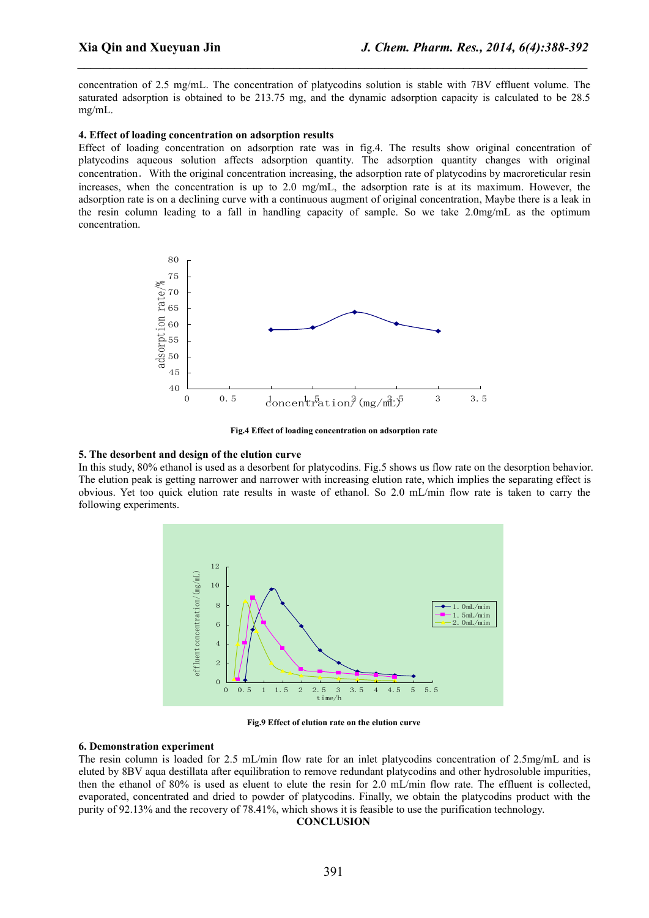concentration of 2.5 mg/mL. The concentration of platycodins solution is stable with 7BV effluent volume. The saturated adsorption is obtained to be 213.75 mg, and the dynamic adsorption capacity is calculated to be 28.5 mg/mL.

*\_\_\_\_\_\_\_\_\_\_\_\_\_\_\_\_\_\_\_\_\_\_\_\_\_\_\_\_\_\_\_\_\_\_\_\_\_\_\_\_\_\_\_\_\_\_\_\_\_\_\_\_\_\_\_\_\_\_\_\_\_\_\_\_\_\_\_\_\_\_\_\_\_\_\_\_\_\_*

#### **4. Effect of loading concentration on adsorption results**

Effect of loading concentration on adsorption rate was in fig.4. The results show original concentration of platycodins aqueous solution affects adsorption quantity. The adsorption quantity changes with original concentration. With the original concentration increasing, the adsorption rate of platycodins by macroreticular resin increases, when the concentration is up to 2.0 mg/mL, the adsorption rate is at its maximum. However, the adsorption rate is on a declining curve with a continuous augment of original concentration, Maybe there is a leak in the resin column leading to a fall in handling capacity of sample. So we take  $2.0 \text{mg/mL}$  as the optimum concentration.



**Fig.4 Effect of loading concentration on adsorption rate**

#### **5. The desorbent and design of the elution curve**

In this study,80% ethanol is used as a desorbent for platycodins. Fig.5 shows us flow rate on the desorption behavior. The elution peak is getting narrower and narrower with increasing elution rate, which implies the separating effect is obvious. Yet too quick elution rate results in waste of ethanol. So 2.0 mL/min flow rate is taken to carry the following experiments.



**Fig.9 Effect of elution rate on the elution curve**

# **6. Demonstration experiment**

The resin column is loaded for 2.5 mL/min flow rate for an inlet platycodins concentration of 2.5mg/mL and is eluted by 8BV aqua destillata after equilibration to remove redundant platycodins and other hydrosoluble impurities, then the ethanol of 80% is used as eluent to elute the resin for 2.0 mL/min flow rate. The effluent is collected, evaporated, concentrated and dried to powder of platycodins. Finally, we obtain the platycodins product with the purity of 92.13% and the recovery of 78.41%, which shows it is feasible to use the purification technology.

#### **CONCLUSION**